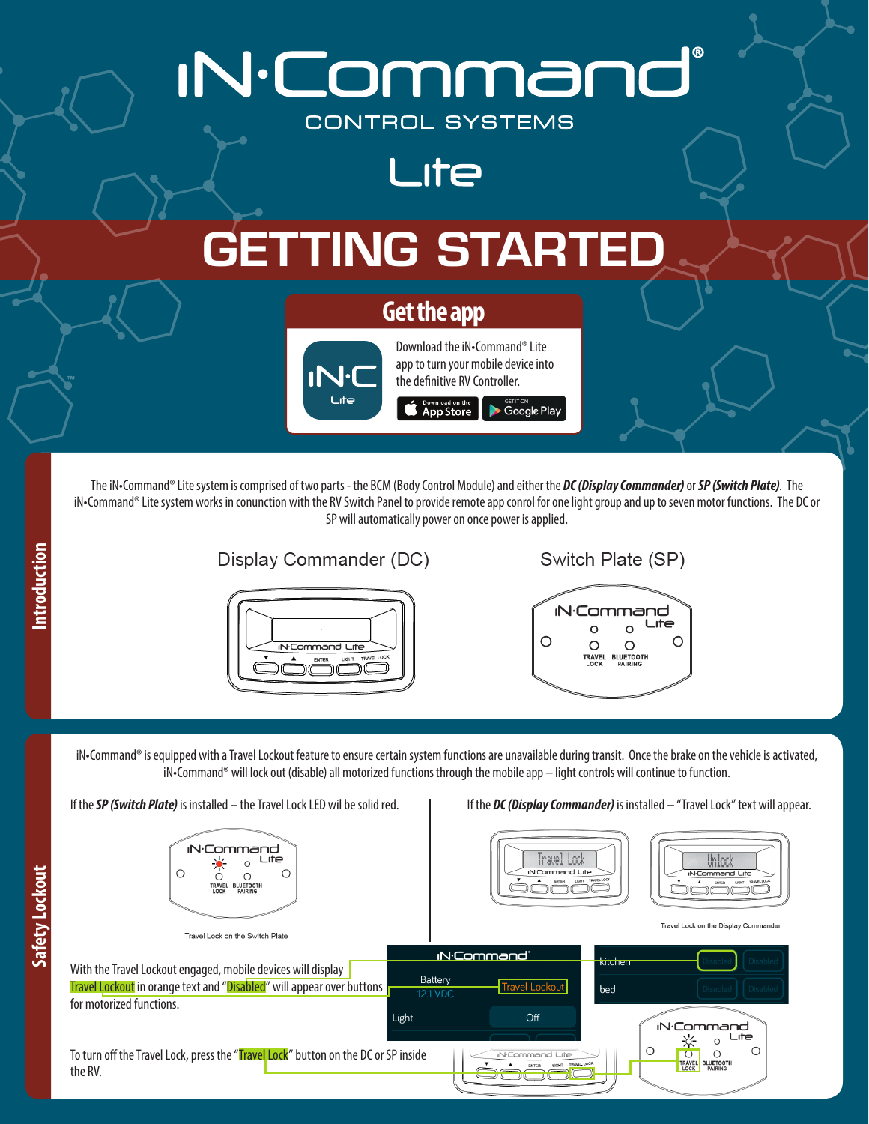

## Display Commander (DC)



## Switch Plate (SP)



iN•Command® is equipped with a Travel Lockout feature to ensure certain system functions are unavailable during transit. Once the brake on the vehicle is activated, iN•Command® will lock out (disable) all motorized functions through the mobile app – light controls will continue to function.

**IN**-Command Lite  $\circ$  $\bigcap$  $\circ$  $\circ$ **BLUETOOT** 

## If the **SP (Switch Plate)** is installed – the Travel Lock LED wil be solid red. | If the **DC (Display Commander)** is installed – "Travel Lock" text will appear.





Travel Lock on the Display Commande